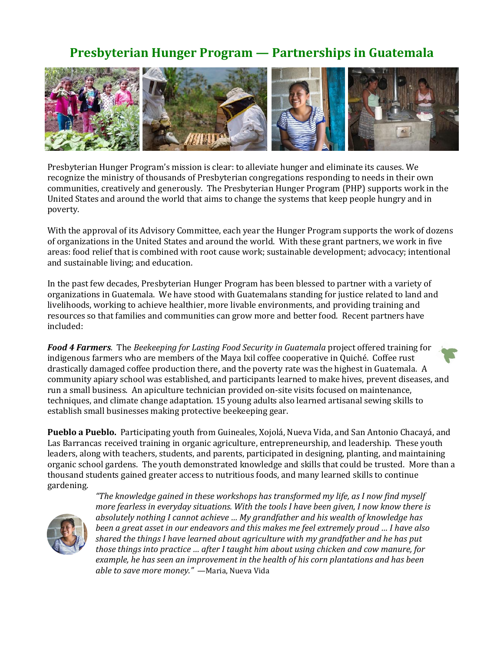## **Presbyterian Hunger Program — Partnerships in Guatemala**



Presbyterian Hunger Program's mission is clear: to alleviate hunger and eliminate its causes. We recognize the ministry of thousands of Presbyterian congregations responding to needs in their own communities, creatively and generously. The Presbyterian Hunger Program (PHP) supports work in the United States and around the world that aims to change the systems that keep people hungry and in poverty.

With the approval of its Advisory Committee, each year the Hunger Program supports the work of dozens of organizations in the United States and around the world. With these grant partners, we work in five areas: food relief that is combined with root cause work; sustainable development; advocacy; intentional and sustainable living; and education.

In the past few decades, Presbyterian Hunger Program has been blessed to partner with a variety of organizations in Guatemala. We have stood with Guatemalans standing for justice related to land and livelihoods, working to achieve healthier, more livable environments, and providing training and resources so that families and communities can grow more and better food. Recent partners have included:

*Food 4 Farmers.* The *Beekeeping for Lasting Food Security in Guatemala* project offered training for indigenous farmers who are members of the Maya Ixil coffee cooperative in Quiché. Coffee rust drastically damaged coffee production there, and the poverty rate was the highest in Guatemala. A community apiary school was established, and participants learned to make hives, prevent diseases, and run a small business. An apiculture technician provided on-site visits focused on maintenance, techniques, and climate change adaptation. 15 young adults also learned artisanal sewing skills to establish small businesses making protective beekeeping gear.

**Pueblo a Pueblo.** Participating youth from Guineales, Xojolá, Nueva Vida, and San Antonio Chacayá, and Las Barrancas received training in organic agriculture, entrepreneurship, and leadership. These youth leaders, along with teachers, students, and parents, participated in designing, planting, and maintaining organic school gardens. The youth demonstrated knowledge and skills that could be trusted. More than a thousand students gained greater access to nutritious foods, and many learned skills to continue gardening.



*"The knowledge gained in these workshops has transformed my life, as I now find myself more fearless in everyday situations. With the tools I have been given, I now know there is absolutely nothing I cannot achieve … My grandfather and his wealth of knowledge has been a great asset in our endeavors and this makes me feel extremely proud … I have also shared the things I have learned about agriculture with my grandfather and he has put those things into practice … after I taught him about using chicken and cow manure, for example, he has seen an improvement in the health of his corn plantations and has been able to save more money."* —Maria, Nueva Vida